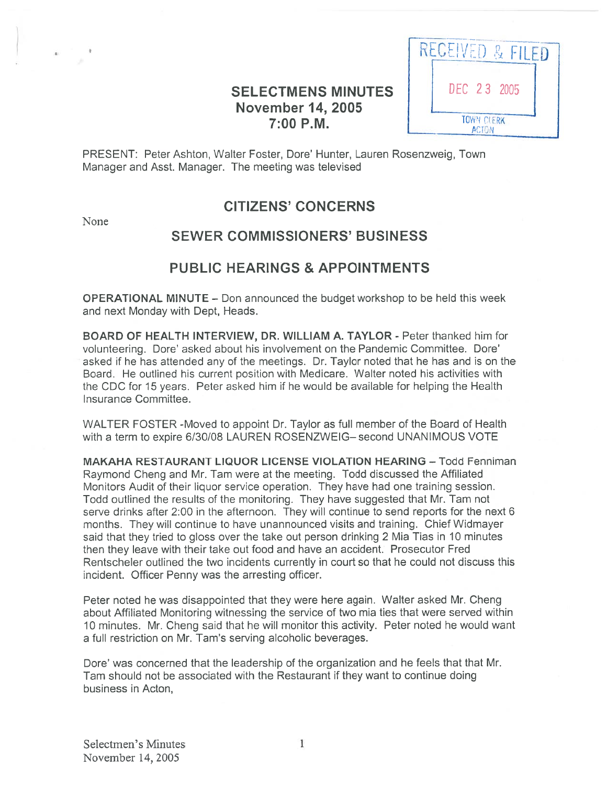# SELECTMENS MINUTES | | DEC 23 2005 **November 14, 2005** 7:00 P.M.



PRESENT: Peter Ashton, Walter Foster, Dore' Hunter, Lauren Rosenzweig, Town Manager and Asst. Manager. The meeting was televised

None

# CITIZENS' CONCERNS

# SEWER COMMISSIONERS' BUSINESS

## PUBLIC HEARINGS & APPOINTMENTS

OPERATIONAL MINUTE — Don announced the budget workshop to be held this week and next Monday with Dept, Heads.

BOARD OF HEALTH INTERVIEW, DR. WILLIAM A. TAYLOR - Peter thanked him for volunteering. Dore' asked about his involvement on the Pandemic Committee. Dore' asked if he has attended any of the meetings. Dr. Taylor noted that he has and is on the Board. He outlined his current position with Medicare. Walter noted his activities with the CDC for 15 years. Peter asked him if he would be available for helping the Health Insurance Committee.

WALTER FOSTER -Moved to appoint Dr. Taylor as full member of the Board of Health with <sup>a</sup> term to expire 6/30/08 LAUREN ROSENZWEIG— second UNANIMOUS VOTE

MAKAHA RESTAURANT LIQUOR LICENSE VIOLATION HEARING — Todd Fenniman Raymond Cheng and Mr. Tam were at the meeting. Todd discussed the Affiliated Monitors Audit of their liquor service operation. They have had one training session. Todd outlined the results of the monitoring. They have suggested that Mr. Tam not serve drinks after 2:00 in the afternoon. They will continue to send reports for the next 6 months. They will continue to have unannounced visits and training. Chief Widmayer said that they tried to gloss over the take out person drinking 2 Mia Tias in 10 minutes then they leave with their take out food and have an accident. Prosecutor Fred Rentscheler outlined the two incidents currently in court so that he could not discuss this incident. Officer Penny was the arresting officer.

Peter noted he was disappointed that they were here again. Walter asked Mr. Cheng about Affiliated Monitoring witnessing the service of two mia ties that were served within 10 minutes. Mr. Cheng said that he will monitor this activity. Peter noted he would want <sup>a</sup> full restriction on Mr. Tam's serving alcoholic beverages.

Dore' was concerned that the leadership of the organization and he feels that that Mr. Tam should not be associated with the Restaurant if they want to continue doing business in Acton,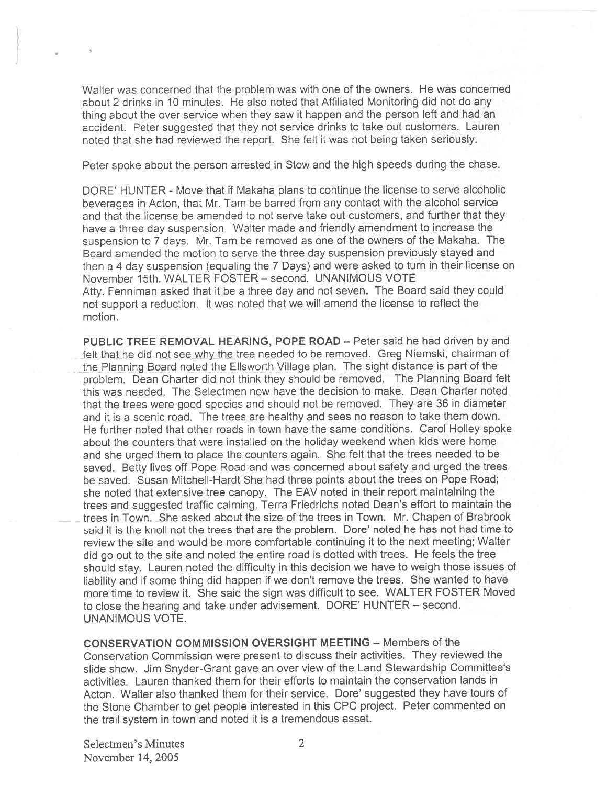Walter was concerned that the problem was with one of the owners. He was concerned about 2 drinks in 10 minutes. He also noted that Affiliated Monitoring did not do any thing about the over service when they saw it happen and the person left and had an accident. Peter suggested that they not service drinks to take out customers. Lauren noted that she had reviewed the report. She felt it was not being taken seriously.

Peter spoke about the person arrested in Stow and the high speeds during the chase.

DORE' HUNTER - Move that if Makaha plans to continue the license to serve alcoholic beverages in Acton, that Mr. Tam be barred from any contact with the alcohol service and that the license be amended to not serve take out customers, and further that they have <sup>a</sup> three day suspension Walter made and friendly amendment to increase the suspension to <sup>7</sup> days. Mr. Tam be removed as one of the owners of the Makaha. The Board amended the motion to serve the three day suspension previously stayed and then <sup>a</sup> <sup>4</sup> day suspension (equaling the <sup>7</sup> Days) and were asked to turn in their license on November 15th. WALTER FOSTER — second. UNANIMOUS VOTE Atty. Fenniman asked that it be <sup>a</sup> three day and not seven. The Board said they could not suppor<sup>t</sup> <sup>a</sup> reduction. It was noted that we will amend the license to reflect the motion.

PUBLIC TREE REMOVAL HEARING, POPE ROAD — Peter said he had driven by and felt that he did not see why the tree needed to be removed. Greg Niemski, chairman of the Planning Board noted the Ellsworth Village plan. The sight distance is part of the problem. Dean Charter did not think they should be removed. The Planning Board felt this was needed. The Selectmen now have the decision to make. Dean Charter noted that the trees were goo<sup>d</sup> species and should not be removed. They are <sup>36</sup> in diameter and it is <sup>a</sup> scenic road. The trees are healthy and sees no reason to take them down. He further noted that other roads in town have the same conditions. Carol Holley spoke about the counters that were installed on the holiday weekend when kids were home and she urge<sup>d</sup> them to <sup>p</sup>lace the counters again. She felt that the trees needed to be saved. Betty lives off Pope Road and was concerned about safety and urge<sup>d</sup> the trees be saved. Susan Mitchell-Hardt She had three points about the trees on Pope Road; she noted that extensive tree canopy. The EAV noted in their repor<sup>t</sup> maintaining the trees and suggested traffic calming. Terra Friedrichs noted Dean's effort to maintain the trees in Town. She asked about the size of the trees in Town. Mr. Chapen of Brabrook said it is the knoll not the trees that are the problem. Dore' noted he has not had time to review the site and would be more comfortable continuing it to the next meeting; Walter did go out to the site and noted the entire road is dotted with trees. He feels the tree should stay. Lauren noted the difficulty in this decision we have to weigh those issues of liability and if some thing did happen if we don't remove the trees. She wanted to have more time to review it. She said the sign was difficult to see. WALTER FOSTER Moved to close the hearing and take under advisement. DORE' HUNTER — second. UNANIMOUS VOTE.

CONSERVATION COMMISSION OVERSIGHT MEETING — Members of the Conservation Commission were presen<sup>t</sup> to discuss their activities. They reviewed the slide show. Jim Snyder-Grant gave an over view of the Land Stewardship Committee's activities. Lauren thanked them for their efforts to maintain the conservation lands in Acton. Walter also thanked them for their service. Dore' suggested they have touts of the Stone Chamber to ge<sup>t</sup> people interested in this CPC project. Peter commented on the trail system in town and noted it is <sup>a</sup> tremendous asset.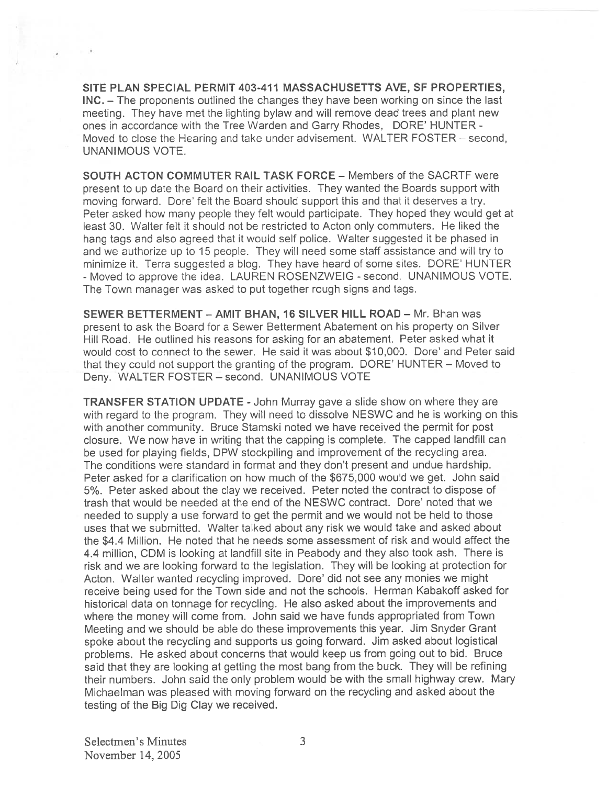SITE PLAN SPECIAL PERMIT 403-411 MASSACHUSETTS AyE, SF PROPERTIES, INC. — The proponents outlined the changes they have been working on since the last meeting. They have met the lighting bylaw and will remove dead trees and plant new ones in accordance with the Tree Warden and Carry Rhodes, DORE' HUNTER - Moved to close the Hearing and take under advisement. WALTER FOSTER - second, UNANIMOUS VOTE.

SOUTH ACTON COMMUTER RAIL TASK FORCE - Members of the SACRTF were presen<sup>t</sup> to up date the Board on their activities. They wanted the Boards suppor<sup>t</sup> with moving forward. Dore' felt the Board should suppor<sup>t</sup> this and that it deserves <sup>a</sup> try. Peter asked how many people they felt would participate. They hoped they would ge<sup>t</sup> at least 30. Walter felt it should not be restricted to Acton only commuters. He liked the hang tags and also agreed that it would self police. Walter suggested it be phased in and we authorize up to 15 people. They will need some staff assistance and will try to minimize it. Terra suggested <sup>a</sup> blog. They have heard of some sites. DORE' HUNTER - Moved to approve the idea. LAUREN ROSENZWEIG - second. UNANIMOUS VOTE The Town manager was asked to pu<sup>t</sup> together rough signs and tags.

SEWER BETTERMENT -AMIT BHAN, 16 SILVER HILL ROAD — Mr. Bhan was presen<sup>t</sup> to ask the Board for <sup>a</sup> Sewer Betterment Abatement on his property on Silver Hill Road. He outlined his reasons for asking for an abatement. Peter asked what it would cost to connect to the sewer. He said it was about \$10,000. Dore' and Peter said that they could not suppor<sup>t</sup> the granting of the program. DORE' HUNTER — Moved to Deny. WALTER FOSTER — second. UNANIMOUS VOTE

TRANSFER STATION UPDATE -John Murray gave <sup>a</sup> slide show on where they are with regard to the program. They will need to dissolve NESWC and he is working on this with another community. Bruce Stamski noted we have received the permit for pos<sup>t</sup> closure. We now have in writing that the capping is complete. The capped landfill can be used for playing fields, DPW stockpiling and improvement of the recycling area. The conditions were standard in format and they don't presen<sup>t</sup> and undue hardship. Peter asked for <sup>a</sup> clarification on how much of the \$675,000 would we get. John said 5%. Peter asked about the clay we received. Peter noted the contract to dispose of trash that would be needed at the end of the NESWC contract. Dore' noted that we needed to supply <sup>a</sup> use forward to ge<sup>t</sup> the permit and we would not be held to those uses that we submitted. Walter talked about any risk we would take and asked about the \$4.4 Million. He noted that he needs some assessment of risk and would affect the 4.4 million, CDM is looking at landfill site in Peabody and they also took ash. There is risk and we are looking forward to the legislation. They will be looking at protection for Acton. Walter wanted recycling improved. Dore' did not see any monies we might receive being used for the Town side and not the schools. Herman Kabakoff asked for historical data on tonnage for recycling. He also asked about the improvements and where the money will come from. John said we have funds appropriated from Town Meeting and we should be able do these improvements this year. Jim Snyder Grant spoke about the recycling and supports us going forward. Jim asked about logistical problems. He asked about concerns that would keep us from going out to bid. Bruce said that they are looking at getting the most bang from the buck. They will be refining their numbers. John said the only problem would be with the small highway crew. Mary Michaelman was <sup>p</sup>leased with moving forward on the recycling and asked about the testing of the Big Dig Clay we received.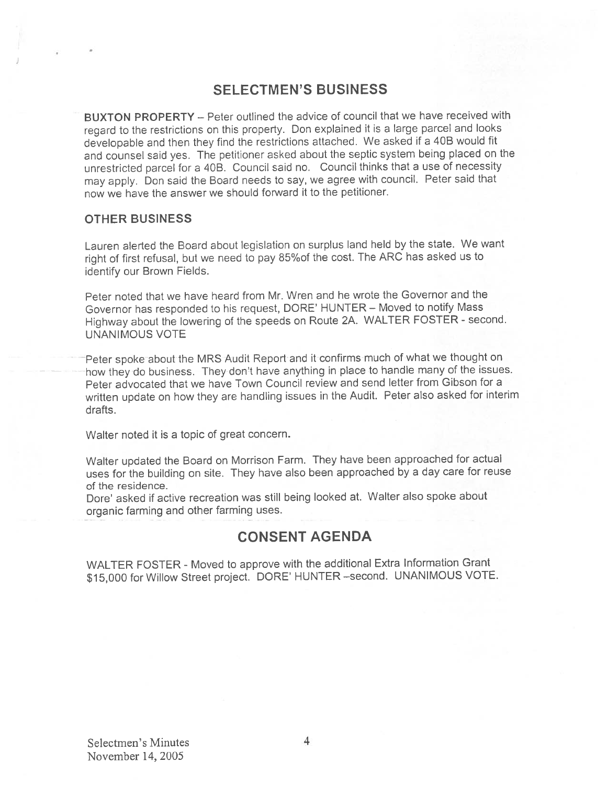## SELECTMEN'S BUSINESS

BUXTON PROPERTY — Peter outlined the advice of council that we have received with regar<sup>d</sup> to the restrictions on this property. Don explained it is <sup>a</sup> large parce<sup>l</sup> and looks developable and then they find the restrictions attached. We asked if <sup>a</sup> <sup>406</sup> would fit and counsel said yes. The petitioner asked about the septic system being <sup>p</sup>laced on the unrestricted parce<sup>l</sup> for <sup>a</sup> 406. Council said no. Council thinks that <sup>a</sup> use of necessity may apply. Don said the Board needs to say, we agree with council. Peter said that now we have the answer we should forward it to the petitioner.

### OTHER BUSINESS

Lauren alerted the Board about legislation on surplus land held by the state. We want right of first refusal, but we need to pay 85%of the cost. The ARC has asked us to identify our Brown Fields.

Peter noted that we have heard from Mr. Wren and he wrote the Governor and the Governor has responded to his request, DORE' HUNTER — Moved to notify Mass Highway about the lowering of the speeds on Route 2A. WALTER FOSTER - second. UNANIMOUS VOTE

Peter spoke about the MRS Audit Report and it confirms much of what we thought on how they do business. They don't have anything in <sup>p</sup>lace to handle many of the issues. Peter advocated that we have Town Council review and send letter from Gibson for <sup>a</sup> written update on how they are handling issues in the Audit. Peter also asked for interim drafts.

Walter noted it is <sup>a</sup> topic of grea<sup>t</sup> concern.

Walter updated the Board on Morrison Farm. They have been approached for actual uses for the building on site. They have also been approached by <sup>a</sup> day care for reuse of the residence.

Dore' asked if active recreation was still being looked at. Walter also spoke about organic farming and other farming uses.

## CONSENT AGENDA

WALTER FOSTER - Moved to approve with the additional Extra Information Grant \$15,000 for Willow Street project. DORE' HUNTER—second. UNANIMOUS VOTE.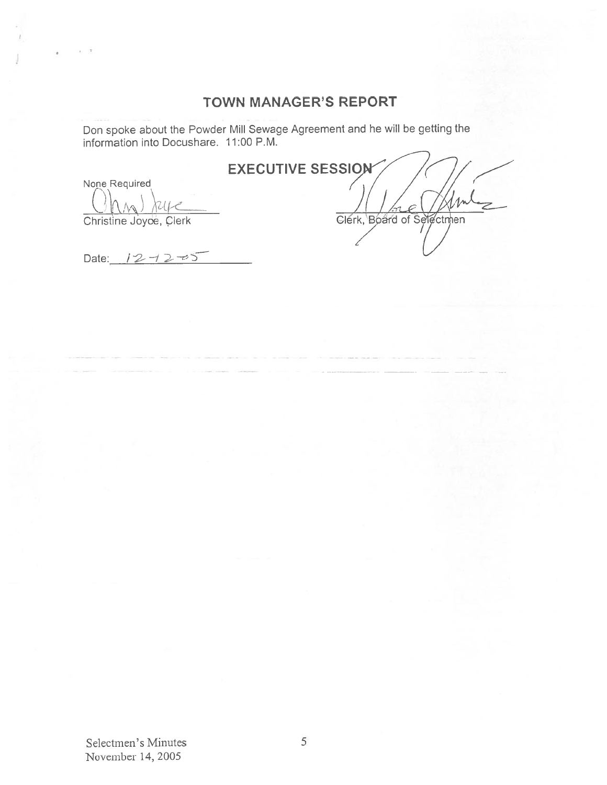# TOWN MANAGER'S REPORT

Don spoke about the Powder Mill Sewage Agreement and he will be getting the information into Docushare. 11:00 P.M.

# **EXECUTIVE SESSION**

Nope Required

Christine Joyce, Clerk Clerk, Board of Selectmen

Date:  $12 - 2 - 5$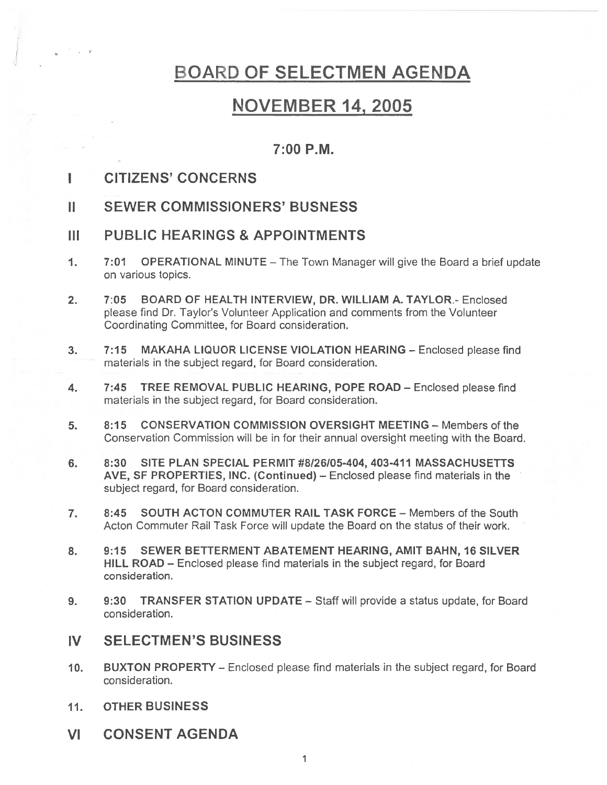# BOARD OF SELECTMEN AGENDA

# NOVEMBER 14, 2005

## 7:00 P.M.

- I CITIZENS' CONCERNS
- II SEWER COMMISSIONERS' BUSNESS
- III PUBLIC HEARINGS & APPOINTMENTS
- 1. 7:01 OPERATIONAL MINUTE The Town Manager will give the Board <sup>a</sup> brief update on various topics.
- 2. 7:05 BOARD OF HEALTH INTERVIEW, DR. WILLIAM A. TAYLOR.- Enclosed please find Dr. Taylor's Volunteer Application and comments from the Volunteer Coordinating Committee, for Board consideration.
- 3. 7:15 MAKAHA LIQUOR LICENSE VIOLATION HEARING Enclosed please find materials in the subject regard, for Board consideration.
- 4. 7:45 TREE REMOVAL PUBLIC HEARING, POPE ROAD Enclosed please find materials in the subject regard, for Board consideration.
- 5. 8:15 CONSERVATION COMMISSION OVERSIGHT MEETING Members of the Conservation Commission will be in for their annual oversight meeting with the Board.
- 6. 8:30 SITE PLAN SPECIAL PERMIT #8/26/05-404, 403-411 MASSACHUSETTS AyE, SF PROPERTIES, INC. (Continued) — Enclosed please find materials in the subject regard, for Board consideration.
- 7. 8:45 SOUTH ACTON COMMUTER RAIL TASK FORCE Members of the South Acton Commuter Rail Task Force will update the Board on the status of their work.
- 8. 9:15 SEWER BETTERMENT ABATEMENT HEARING, AMIT BAHN, 16 SILVER HILL ROAD — Enclosed please find materials in the subject regard, for Board consideration.
- 9. 9:30 TRANSFER STATION UPDATE Staff will provide <sup>a</sup> status update, for Board consideration.

## IV SELECTMEN'S BUSINESS

- 10. BUXTON PROPERTY Enclosed please find materials in the subject regard, for Board consideration.
- 11. OTHER BUSINESS
- VI CONSENT AGENDA